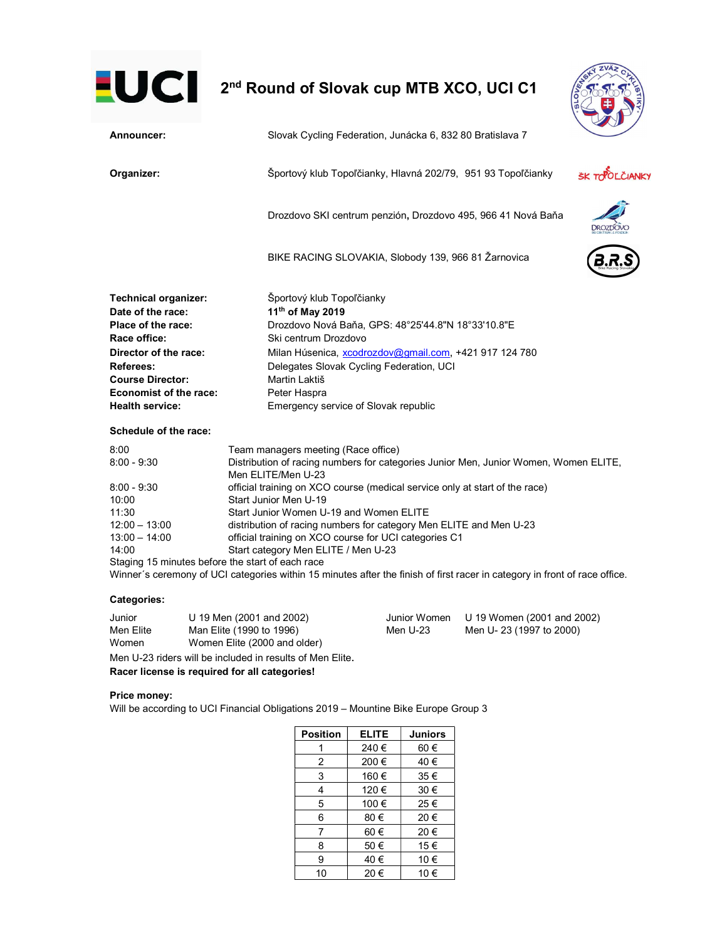# **2nd Round of Slovak cup MTB XCO, UCI C1**



| Announcer:                  | Slovak Cycling Federation, Junácka 6, 832 80 Bratislava 7                                                  |                |  |
|-----------------------------|------------------------------------------------------------------------------------------------------------|----------------|--|
| Organizer:                  | Športový klub Topoľčianky, Hlavná 202/79, 951 93 Topoľčianky                                               | ŠK TOPOLČIANKY |  |
|                             | Drozdovo SKI centrum penzión, Drozdovo 495, 966 41 Nová Baňa                                               |                |  |
|                             | BIKE RACING SLOVAKIA, Slobody 139, 966 81 Žarnovica                                                        |                |  |
| <b>Technical organizer:</b> | Športový klub Topoľčianky                                                                                  |                |  |
| Date of the race:           | 11th of May 2019                                                                                           |                |  |
| Place of the race:          | Drozdovo Nová Baňa, GPS: 48°25'44.8"N 18°33'10.8"E                                                         |                |  |
| Race office:                | Ski centrum Drozdovo                                                                                       |                |  |
| Director of the race:       | Milan Húsenica, xcodrozdov@gmail.com, +421 917 124 780                                                     |                |  |
| Referees:                   | Delegates Slovak Cycling Federation, UCI                                                                   |                |  |
| <b>Course Director:</b>     | Martin Laktiš                                                                                              |                |  |
| Economist of the race:      | Peter Haspra                                                                                               |                |  |
| <b>Health service:</b>      | Emergency service of Slovak republic                                                                       |                |  |
| Schedule of the race:       |                                                                                                            |                |  |
| 8:00                        | Team managers meeting (Race office)                                                                        |                |  |
| $8:00 - 9:30$               | Distribution of racing numbers for categories Junior Men, Junior Women, Women ELITE,<br>Men ELITE/Men U-23 |                |  |
| $8:00 - 9:30$<br>1∩∙∩∩      | official training on XCO course (medical service only at start of the race)<br>Start Tunior Men I L19      |                |  |

| o.uu - 9.ou     | onicial training on ACO course (medical service only at start of the race)                                                 |
|-----------------|----------------------------------------------------------------------------------------------------------------------------|
| 10:00           | Start Junior Men U-19                                                                                                      |
| 11:30           | Start Junior Women U-19 and Women ELITE                                                                                    |
| $12:00 - 13:00$ | distribution of racing numbers for category Men ELITE and Men U-23                                                         |
| 13:00 - 14:00   | official training on XCO course for UCI categories C1                                                                      |
| 14:00           | Start category Men ELITE / Men U-23                                                                                        |
|                 | Staging 15 minutes before the start of each race                                                                           |
|                 | Winner´s ceremony of UCI categories within 15 minutes after the finish of first racer in category in front of race office. |
|                 |                                                                                                                            |

# Categories:

Junior U 19 Men (2001 and 2002) Junior Women U 19 Women (2001 and 2002) Men Elite Man Elite (1990 to 1996) Men U-23 Men U- 23 (1997 to 2000) Women Women Elite (2000 and older) Men U-23 riders will be included in results of Men Elite.

Racer license is required for all categories!

## Price money:

Will be according to UCI Financial Obligations 2019 – Mountine Bike Europe Group 3

| <b>Position</b> | <b>ELITE</b> | <b>Juniors</b> |
|-----------------|--------------|----------------|
|                 | 240€         | 60€            |
| 2               | 200€         | 40€            |
| 3               | 160€         | 35€            |
| 4               | 120€         | 30€            |
| 5               | 100€         | 25€            |
| 6               | 80€          | 20€            |
| 7               | 60€          | 20€            |
| 8               | 50€          | 15€            |
| 9               | 40 €         | 10 €           |
| 10              | 20€          | 10 €           |